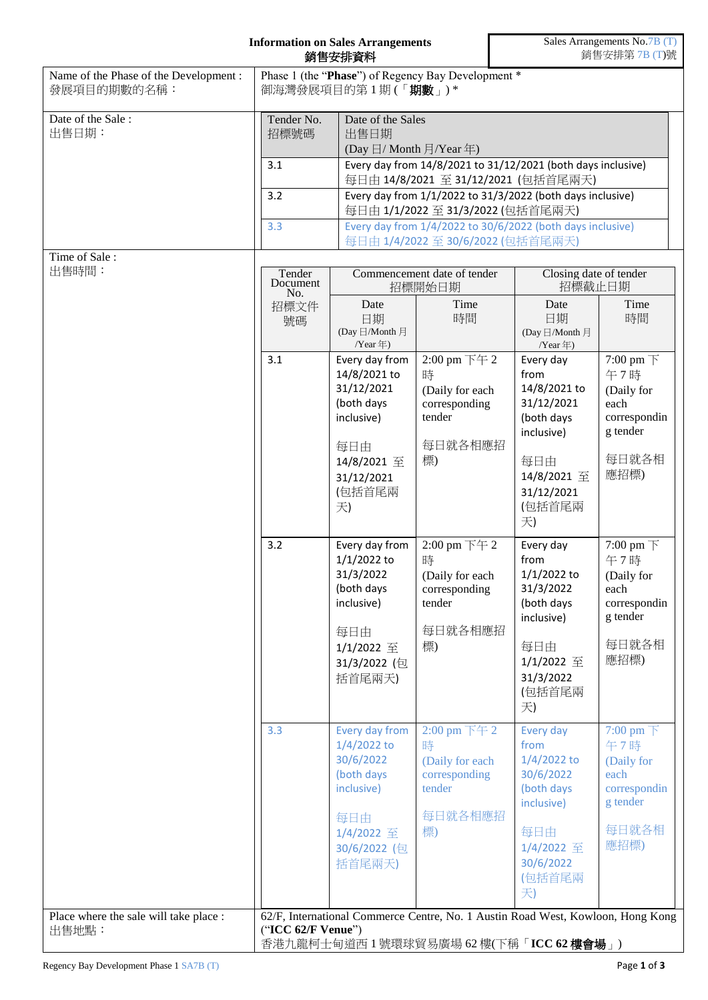| <b>Information on Sales Arrangements</b><br>銷售安排資料    |                                                                                                                                                                                                                                                                                                                                                                                                                                        |                                                                                                                              |                                                                                                                               | Sales Arrangements No.7B (T)<br>銷售安排第7B(T)號                                                                                     |                                                                                                            |  |
|-------------------------------------------------------|----------------------------------------------------------------------------------------------------------------------------------------------------------------------------------------------------------------------------------------------------------------------------------------------------------------------------------------------------------------------------------------------------------------------------------------|------------------------------------------------------------------------------------------------------------------------------|-------------------------------------------------------------------------------------------------------------------------------|---------------------------------------------------------------------------------------------------------------------------------|------------------------------------------------------------------------------------------------------------|--|
| Name of the Phase of the Development :<br>發展項目的期數的名稱: |                                                                                                                                                                                                                                                                                                                                                                                                                                        | Phase 1 (the "Phase") of Regency Bay Development *<br>御海灣發展項目的第1期(「期數」)*                                                     |                                                                                                                               |                                                                                                                                 |                                                                                                            |  |
| Date of the Sale:<br>出售日期:                            | Tender No.<br>Date of the Sales<br>招標號碼<br>出售日期<br>(Day $\boxdot$ / Month $\boxdot$ /Year $\oplus$ )<br>Every day from 14/8/2021 to 31/12/2021 (both days inclusive)<br>3.1<br>每日由 14/8/2021 至 31/12/2021 (包括首尾兩天)<br>Every day from 1/1/2022 to 31/3/2022 (both days inclusive)<br>3.2<br>每日由 1/1/2022 至 31/3/2022 (包括首尾兩天)<br>Every day from 1/4/2022 to 30/6/2022 (both days inclusive)<br>3.3<br>每日由 1/4/2022 至 30/6/2022 (包括首尾兩天) |                                                                                                                              |                                                                                                                               |                                                                                                                                 |                                                                                                            |  |
| Time of Sale:<br>出售時間:                                | Tender<br>Document<br>No.<br>招標文件                                                                                                                                                                                                                                                                                                                                                                                                      | Commencement date of tender<br>招標開始日期<br>Date<br>Time                                                                        |                                                                                                                               |                                                                                                                                 | Closing date of tender<br>招標截止日期<br>Time<br>Date                                                           |  |
|                                                       | 號碼                                                                                                                                                                                                                                                                                                                                                                                                                                     | 日期<br>(Day 日/Month 月<br>/Year年)                                                                                              | 時間                                                                                                                            | 日期<br>(Day 日/Month 月<br>/Year年)                                                                                                 | 時間                                                                                                         |  |
|                                                       | 3.1                                                                                                                                                                                                                                                                                                                                                                                                                                    | Every day from<br>14/8/2021 to<br>31/12/2021<br>(both days<br>inclusive)<br>每日由<br>14/8/2021 至<br>31/12/2021<br>(包括首尾兩<br>天) | 2:00 pm 下午 2<br>時<br>(Daily for each<br>corresponding<br>tender<br>每日就各相應招<br>標)                                              | Every day<br>from<br>14/8/2021 to<br>31/12/2021<br>(both days<br>inclusive)<br>每日由<br>14/8/2021 至<br>31/12/2021<br>(包括首尾兩<br>天) | 7:00 pm $\top$<br>午7時<br>(Daily for<br>each<br>correspondin<br>g tender<br>每日就各相<br>應招標)                   |  |
|                                                       | 3.2                                                                                                                                                                                                                                                                                                                                                                                                                                    | Every day from<br>1/1/2022 to<br>31/3/2022<br>(both days<br>inclusive)<br>每日由<br>1/1/2022 至<br>31/3/2022 (包<br>括首尾兩天)        | 2:00 pm 下午 2<br>時<br>(Daily for each<br>corresponding<br>tender<br>每日就各相應招<br>標)                                              | Every day<br>from<br>1/1/2022 to<br>31/3/2022<br>(both days<br>inclusive)<br>每日由<br>1/1/2022 至<br>31/3/2022<br>(包括首尾兩<br>天)     | 7:00 pm $\top$<br>午7時<br>(Daily for<br>each<br>correspondin<br>g tender<br>每日就各相<br>應招標)                   |  |
|                                                       | 3.3                                                                                                                                                                                                                                                                                                                                                                                                                                    | Every day from<br>$1/4/2022$ to<br>30/6/2022<br>(both days<br>inclusive)<br>每日由<br>1/4/2022 至<br>30/6/2022 (包<br>括首尾兩天)      | 2:00 pm $\overline{\mathrm{F}}$ $\overline{\mathrm{F}}$ 2<br>時<br>(Daily for each<br>corresponding<br>tender<br>每日就各相應招<br>標) | Every day<br>from<br>$1/4/2022$ to<br>30/6/2022<br>(both days<br>inclusive)<br>每日由<br>1/4/2022 至<br>30/6/2022<br>(包括首尾兩<br>天)   | 7:00 pm $\overline{\mathcal{F}}$<br>午7時<br>(Daily for<br>each<br>correspondin<br>g tender<br>每日就各相<br>應招標) |  |
| Place where the sale will take place :<br>出售地點:       | ("ICC 62/F Venue")                                                                                                                                                                                                                                                                                                                                                                                                                     |                                                                                                                              |                                                                                                                               | 62/F, International Commerce Centre, No. 1 Austin Road West, Kowloon, Hong Kong<br>香港九龍柯士甸道西 1 號環球貿易廣場 62 樓(下稱「ICC 62 樓會場」)     |                                                                                                            |  |

 $\mathsf{r}$ 

 $\overline{\phantom{a}}$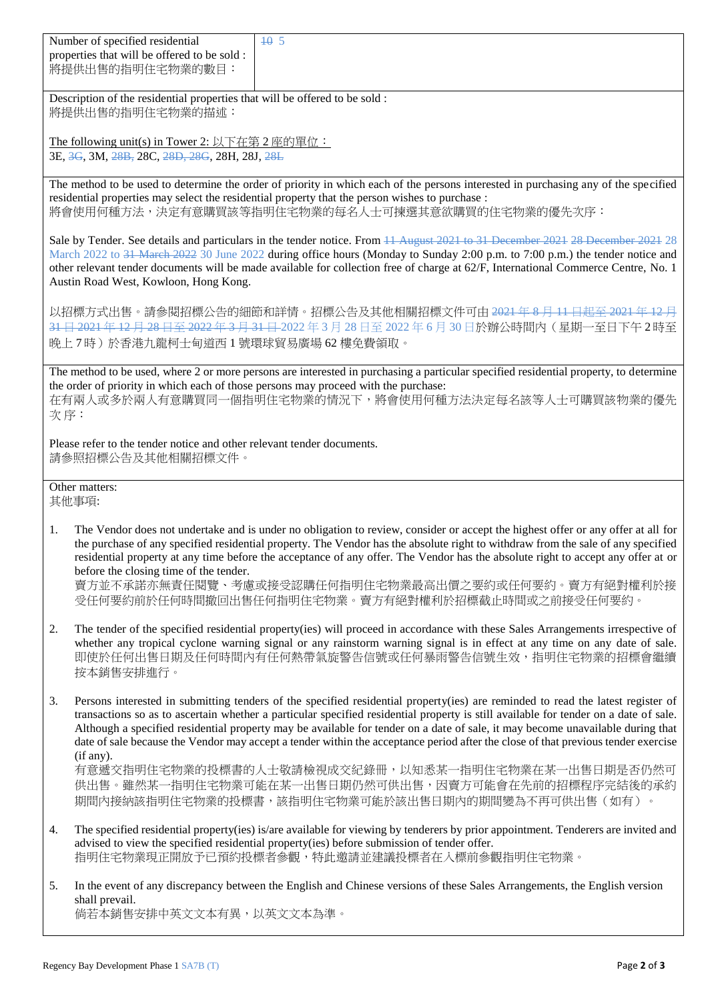| Number of specified residential              | 1405 |
|----------------------------------------------|------|
| properties that will be offered to be sold : |      |
| 將提供出售的指明住宅物業的數目:                             |      |

Description of the residential properties that will be offered to be sold : 將提供出售的指明住宅物業的描述:

The following unit(s) in Tower 2: 以下在第 2 座的單位: 3E, 3G, 3M, 28B, 28C, 28D, 28G, 28H, 28J, 28L

The method to be used to determine the order of priority in which each of the persons interested in purchasing any of the specified residential properties may select the residential property that the person wishes to purchase : 將會使用何種方法,決定有意購買該等指明住宅物業的每名人士可揀選其意欲購買的住宅物業的優先次序:

Sale by Tender. See details and particulars in the tender notice. From 11 August 2021 to 31 December 2021 28 December 2021 28 March 2022 to 31 March 2022 30 June 2022 during office hours (Monday to Sunday 2:00 p.m. to 7:00 p.m.) the tender notice and other relevant tender documents will be made available for collection free of charge at 62/F, International Commerce Centre, No. 1 Austin Road West, Kowloon, Hong Kong.

以招標方式出售。請參閱招標公告的細節和詳情。招標公告及其他相關招標文件可由 <del>2021 年 8 月 11 日起至 2021 年 12 月</del> 31日 2021年 12月 28日至 2022年 3月 31日 2022年 3月 28日至 2022年 6月 30日於辦公時間內 (星期一至日下午 2時至 晚上 7 時)於香港九龍柯士甸道西 1 號環球貿易廣場 62 樓免費領取。

The method to be used, where 2 or more persons are interested in purchasing a particular specified residential property, to determine the order of priority in which each of those persons may proceed with the purchase: 在有兩人或多於兩人有意購買同一個指明住宅物業的情況下,將會使用何種方法決定每名該等人士可購買該物業的優先 次 序:

Please refer to the tender notice and other relevant tender documents. 請參照招標公告及其他相關招標文件。

Other matters: 其他事項:

1. The Vendor does not undertake and is under no obligation to review, consider or accept the highest offer or any offer at all for the purchase of any specified residential property. The Vendor has the absolute right to withdraw from the sale of any specified residential property at any time before the acceptance of any offer. The Vendor has the absolute right to accept any offer at or before the closing time of the tender.

賣方並不承諾亦無責任閱覽、考慮或接受認購任何指明住宅物業最高出價之要約或任何要約。賣方有絕對權利於接 受任何要約前於任何時間撤回出售任何指明住宅物業。賣方有絕對權利於招標截止時間或之前接受任何要約。

- 2. The tender of the specified residential property(ies) will proceed in accordance with these Sales Arrangements irrespective of whether any tropical cyclone warning signal or any rainstorm warning signal is in effect at any time on any date of sale. 即使於任何出售日期及任何時間內有任何熱帶氣旋警告信號或任何暴雨警告信號生效,指明住宅物業的招標會繼續 按本銷售安排進行。
- 3. Persons interested in submitting tenders of the specified residential property(ies) are reminded to read the latest register of transactions so as to ascertain whether a particular specified residential property is still available for tender on a date of sale. Although a specified residential property may be available for tender on a date of sale, it may become unavailable during that date of sale because the Vendor may accept a tender within the acceptance period after the close of that previous tender exercise (if any).

有意遞交指明住宅物業的投標書的人士敬請檢視成交紀錄冊,以知悉某一指明住宅物業在某一出售日期是否仍然可 供出售。雖然某一指明住宅物業可能在某一出售日期仍然可供出售,因賣方可能會在先前的招標程序完結後的承約 期間內接納該指明住宅物業的投標書,該指明住宅物業可能於該出售日期內的期間變為不再可供出售(如有)。

- 4. The specified residential property(ies) is/are available for viewing by tenderers by prior appointment. Tenderers are invited and advised to view the specified residential property(ies) before submission of tender offer. 指明住宅物業現正開放予已預約投標者參觀,特此邀請並建議投標者在入標前參觀指明住宅物業。
- 5. In the event of any discrepancy between the English and Chinese versions of these Sales Arrangements, the English version shall prevail.

倘若本銷售安排中英文文本有異,以英文文本為準。